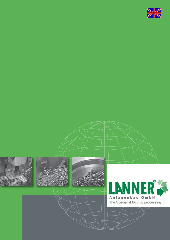







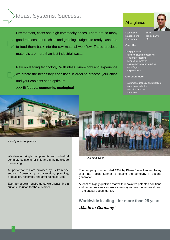## Ideas. Systems. Success.

Environment, costs and high commodity prices: There are so many good reasons to turn chips and grinding sludge into ready cash and to feed them back into the raw material workflow. These precious materials are more than just industrial waste.

Rely on leading technology. With ideas, know-how and experience we create the necessary conditions in order to process your chips and your coolants at an optimum.

**>>> Effective, economic, ecological**

*Headquarter Kippenheim*

We develop single components and individual complete solutions for chip and grinding sludge processing.

All performances are provided by us from one source: Consultancy, construction, planning, production, assembly and after sales service.

Even for special requirements we always find a suitable solution for the customer.

#### At a glance

Foundation 1987 Management Tobias Lanner Employees 35

#### **Our offer:**

- ▶ chip processing
- ▶ grinding sludge processing
- ▶ coolant processing
- ▶ briquetting systems
- ▶ chip conveyors and logistics
- ▶ centrifuges
- ▶ chip crushers

#### **Our customers:**

- ▶ automotive industry and suppliers
- ▶ machining industry
- ▶ recycling industry
- ▶ foundries



*Our employees*

The company was founded 1987 by Klaus-Dieter Lanner. Today Dipl. Ing. Tobias Lanner is leading the company in second generation.

A team of highly qualified staff with innovative patented solutions and numerous services are a sure way to gain the technical lead in the capital goods market.

**Worldwide leading** - **for more than 25 years**

*"Made in Germany"*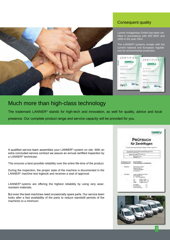

### Consequent quality

Lanner Anlagenbau GmbH has been certified in accordance with ISO 9001 and 1400 in the year 2004.

The LANNER®-systems comply with the current national and European regulations for environmental protection.



## Much more than high-class technology

The trademark LANNER® stands for high-tech and innovation, as well for quality, advice and local presence. Our complete product range and service capacity will be provided for you.

A qualified service team assembles your LANNER®-system on site. With an extra concluded service contract we assure an annual certified inspection by a LANNER® technician.

This ensures a best possible reliability over the entire life-time of the product.

During the inspection, the proper state of the machine is documented in the LANNER® machine test logbook and receives a seal of approval.

LANNER®-sytems are offering the highest reliability by using very wearresistant materials.

But even the best machines need occasionally spare parts. Our service team looks after a fast availability of the parts to reduce standstill periods of the machines to a minimum.

|                                     | <b>PRÜFBUCH</b>                                                           |
|-------------------------------------|---------------------------------------------------------------------------|
|                                     | für Zentrifugen                                                           |
|                                     | Hir unte Zwortune et ein genohlertes Hir Exchitation-                     |
|                                     | Typerbeheatrining Pacindomining PV25                                      |
|                                     | Matrices Nr. 10-PM ave.                                                   |
|                                     | Hausiste COTE                                                             |
| Achaptinate:<br><b>Handysmuonne</b> | AU-2015DeMass<br>12145 (Bennettung 12045070910)                           |
| <b>Timbra</b>                       | Mandermiser: Gretze<br><b>Maner Grade 4</b><br>1234CMcmmmd<br>Deutschland |
| eisko                               | Lannes Antagenhau Council<br>Kimnadaki 9 T1<br>D .: 27571 (Oppethum)      |
|                                     | 01825 / 8454 / O<br>w.<br>878255 年4 (6)<br>Par -<br><b>Allant</b>         |
|                                     | <b>HIGH</b>                                                               |

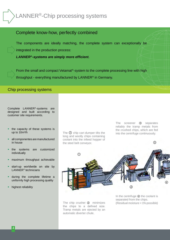## LANNER<sup>®</sup>-Chip processing systems



From the small and compact Vetamat®-system to the complete processing line with high throughput - everything manufactured by LANNER® in Germany.

#### Chip processing systems

Complete LANNER®-systems are designed and built according to customer site requirements.

- $\triangleright$  the capacity of these systems is up to 10m<sup>3</sup>/h
- ▶ all componentes are manufactured in house
- the systems are customized individually
- maximum throughput achievable
- start-up worldwide on site by LANNER® technicians
- during the complete lifetime a uniformly high processing quality
- ▶ highest reliability

The  $\Omega$  chip cart dumper tilts the long and woolly chips containing coolant into the infeed hopper of the steel belt conveyor.

The screener ③ separates reliably the tramp metals from the crushed chips, which are fed into the centrifuge continuously.

③



The chip crusher ② minimizes the chips to a defined size. Tramp metals are ejected by an automatic diverter chute.

In the centrifuge 4 the coolant is separated from the chips. (Residual moisture < 1% possible)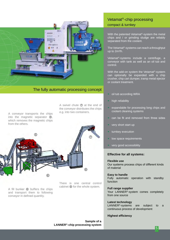

#### The fully automatic processing concept

A conveyor transports the chips



A fill bunker ⑥ buffers the chips and transport them to following conveyor in defined quantity.

There is one central control cabinet <sup>®</sup> for the whole system.

A swivel chute  $\Omega$  at the end of the conveyor distributes the chips

e.g. into two containers.

## Vetamat®-chip processing compact & turnkey

With the patented Vetamat®-system the metal chips and / or grinding sludge are reliably separated from the coolant.

The Vetamat®-systems can reach a throughput up to 2m<sup>3</sup>/h.

Vetamat®-systems include a centrifuge, a conveyor with tank as well as an oil tub and control.

With the add-on system the Vetamat®-system can optionally be expanded with a chip crusher, chip cart dumper, tramp metal ejector or coolant treatment.

- oil tub according WRA
- high reliability
- expandable for processing long chips and coolant cleaning systems
- can be fit and removed from three sides
- very short start up
- turnkey execution
- low space requirements
- very good accessibility

#### **Effective for all systems:**

#### **Flexible use**

Our systems process chips of different kinds of material

#### **Easy to handle**

Fully automatic operation with standby function

#### **Full range supplier**

Your LANNER<sup>®</sup>-system comes completely from one source

#### **Latest technology**

LANNER<sup>®</sup>-systems are subject to a continuous process of development

#### **Highest efficiency**

**Sample of a LANNER®-chip processing system**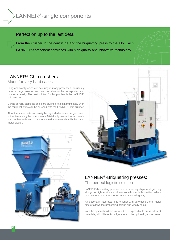# LANNER®-single components

## Perfection up to the last detail

From the crusher to the centrifuge and the briquetting press to the silo: Each LANNER®-component convinces with high quality and innovative technology.

## LANNER®-Chip crushers:

Made for very hard cases

Long and woolly chips are occuring in many processes, do usually have a huge volume and are not able to be transported and processed easily. The best solution for this problem is the LANNER® chip crusher.

During several steps the chips are crushed to a minimum size. Even the roughest chips can be crushed with the LANNER®-chip crusher.

All of the spare parts can easily be regrinded or interchanged, even without removing the components. Mistakenly inserted tramp metals such as bar ends and tools are ejected automatically with the tramp metal ejector.





## LANNER®-Briquetting presses:

The perfect logistic solution

LANNER®-briquetting presses are processing chips and grinding sludge to high-tensile and dimensionally stable briquettes, which can be stored and transported in a space-saving way.

An optionally integrated chip crusher with automatic tramp metal ejector allows the processing of long and woolly chips.

With the optional multipress execution it is possible to press different materials, with different configurations of the hydraulic, at one press.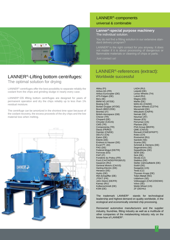

## LANNER®-Lifting bottom centrifuges: The optimal solution for drying

LANNER®-centrifuges offer the best possibility to separate reliably the coolant from the chips and grinding sludge in nearly every case.

LANNER®-DS lifiting bottom centrifuges are designed for years of permanent operation and dry the chips reliably up to less than 1% residual moisture.

The centrifuge can be amortized in the shortest time span because of the coolant recovery, the excess proceeds of the dry chips and the low material loss when melting.



#### LANNER®-components universal & combinable

#### **Lanner®-special purpose machinery** The individual solution.

You do not find a fitting solution in our extensive standard delivery program?

LANNER<sup>®</sup> is the right contact for you anyway. It does not matter if it is about processing of dangerous or flammable materials or cleaning of chips or parts.

Just contact us!

## LANNER®-references (extract): Worldwide successful

Abloy (FI) Airbus AG (FR) Airbus Eurocopter (DE) ATS-Felgen (DE) Beru (IE) BMW AG (AT/DE) Boeing (US) Borbet Gruppe (AT/DE) Bosch (BR/CZ/DE) Brembo (IT) British-Aerospace (GB) Chever (TR) Chopard (DE) Chrysler (CA/US) CMS (TR) Componenta (TR) Dacia (FR/RO) Daimler (CN/DE) DEUTZ (CN) Eaton (DE) Eberle (DE) Endress & Hauser (DE) Excel PT. (ID) FAG (DE) Federal-Mogul (DE/TR) Ferrovas (ES) FIAT (IT) Fonderie du Poitou (FR) Ford (CA/CN/DE/FR/GB/US) Gazprom (RU) General Motors (CA/US) Harting-Electric (DE) Heraeus (DE) Hydro (DE) INA-Schaeffler (DE) JTEKT (FR) John Deere (DE/FR) Kamaz (RU) Kolbenschmidt (DE) KSM (DE)

LADA (RU) Leipold (DE) Lenso Wheels (TH) Lukoil (RU) Magna (DE) Mahle (DE) MAN AG (CN/DE) Maxion Wheels (CZ/TH) Mecamold (DK) Mitsubishi (CN/FR) Nemak (DE) Neuman (AT) Nissan (ES) Perryman (US) Plansee (DE) PSA Group (BR/FR) QME (CN/US) Renault (CN/ES/FR/PT) Rolex (CH) Rostvertol (RU) Sandvik (SE) Scania (SE) Schmidt & Clemens (DE) Segerströms (SE) Seppelfricke (DE) SEW (DE) Sick (DE) Skoda (CZ) Stabilus (DE) Stelter Zahnradfabrik (DE) Südöl (DE) Swagelok (US) Tesla (CZ) Thyssen Krupp (DE) Toten-Metall (NO) Uddehom (SE) Volkswagen (CN/CZ/DE/MX) Volvo (SE) Webb Wheel (US) ZF (DE/HU)

The trademark LANNER® stands for technological leadership and highest demand on quality worldwide, in the ecological and economically oriented chip processing.

Renowned automotive manufacturers and the supplier industry, foundries, fitting industry as well as a multitude of other companies of the metalworking industry rely on the know-how of LANNER®.

7